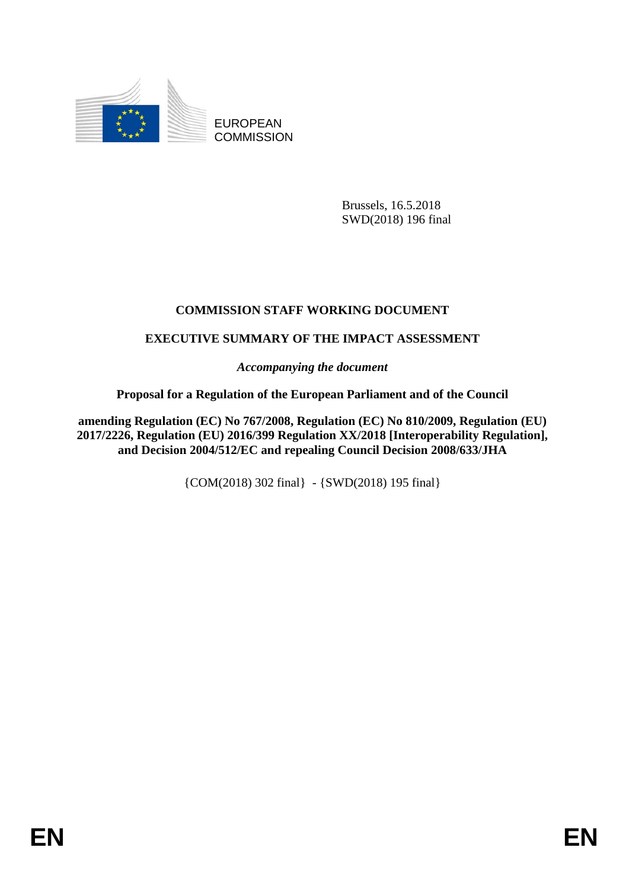

EUROPEAN **COMMISSION** 

> Brussels, 16.5.2018 SWD(2018) 196 final

# **COMMISSION STAFF WORKING DOCUMENT**

# **EXECUTIVE SUMMARY OF THE IMPACT ASSESSMENT**

*Accompanying the document*

## **Proposal for a Regulation of the European Parliament and of the Council**

**amending Regulation (EC) No 767/2008, Regulation (EC) No 810/2009, Regulation (EU) 2017/2226, Regulation (EU) 2016/399 Regulation XX/2018 [Interoperability Regulation], and Decision 2004/512/EC and repealing Council Decision 2008/633/JHA**

{COM(2018) 302 final} - {SWD(2018) 195 final}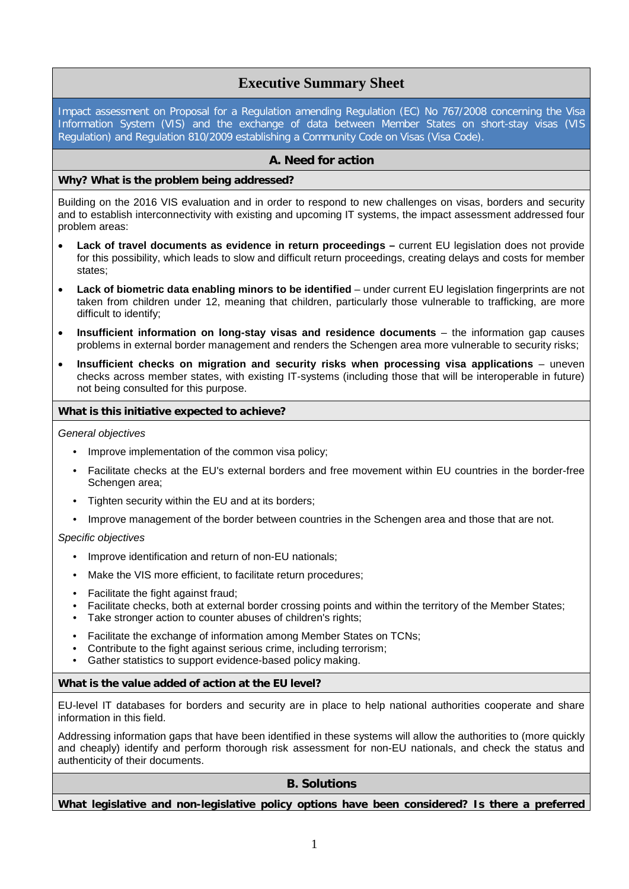## **Executive Summary Sheet**

Impact assessment on Proposal for a Regulation amending Regulation (EC) No 767/2008 concerning the Visa Information System (VIS) and the exchange of data between Member States on short-stay visas (VIS Regulation) and Regulation 810/2009 establishing a Community Code on Visas (Visa Code).

## **A. Need for action**

### **Why? What is the problem being addressed?**

Building on the 2016 VIS evaluation and in order to respond to new challenges on visas, borders and security and to establish interconnectivity with existing and upcoming IT systems, the impact assessment addressed four problem areas:

- **Lack of travel documents as evidence in return proceedings –** current EU legislation does not provide for this possibility, which leads to slow and difficult return proceedings, creating delays and costs for member states;
- **Lack of biometric data enabling minors to be identified** under current EU legislation fingerprints are not taken from children under 12, meaning that children, particularly those vulnerable to trafficking, are more difficult to identify;
- **Insufficient information on long-stay visas and residence documents** the information gap causes problems in external border management and renders the Schengen area more vulnerable to security risks;
- **Insufficient checks on migration and security risks when processing visa applications** uneven checks across member states, with existing IT-systems (including those that will be interoperable in future) not being consulted for this purpose.

#### **What is this initiative expected to achieve?**

#### *General objectives*

- Improve implementation of the common visa policy;
- Facilitate checks at the EU's external borders and free movement within EU countries in the border-free Schengen area:
- Tighten security within the EU and at its borders;
- Improve management of the border between countries in the Schengen area and those that are not.

#### *Specific objectives*

- Improve identification and return of non-EU nationals;
- Make the VIS more efficient, to facilitate return procedures;
- Facilitate the fight against fraud;
- Facilitate checks, both at external border crossing points and within the territory of the Member States;
- Take stronger action to counter abuses of children's rights;
- Facilitate the exchange of information among Member States on TCNs;
- Contribute to the fight against serious crime, including terrorism;
- Gather statistics to support evidence-based policy making.

#### **What is the value added of action at the EU level?**

EU-level IT databases for borders and security are in place to help national authorities cooperate and share information in this field.

Addressing information gaps that have been identified in these systems will allow the authorities to (more quickly and cheaply) identify and perform thorough risk assessment for non-EU nationals, and check the status and authenticity of their documents.

## **B. Solutions**

**What legislative and non-legislative policy options have been considered? Is there a preferred**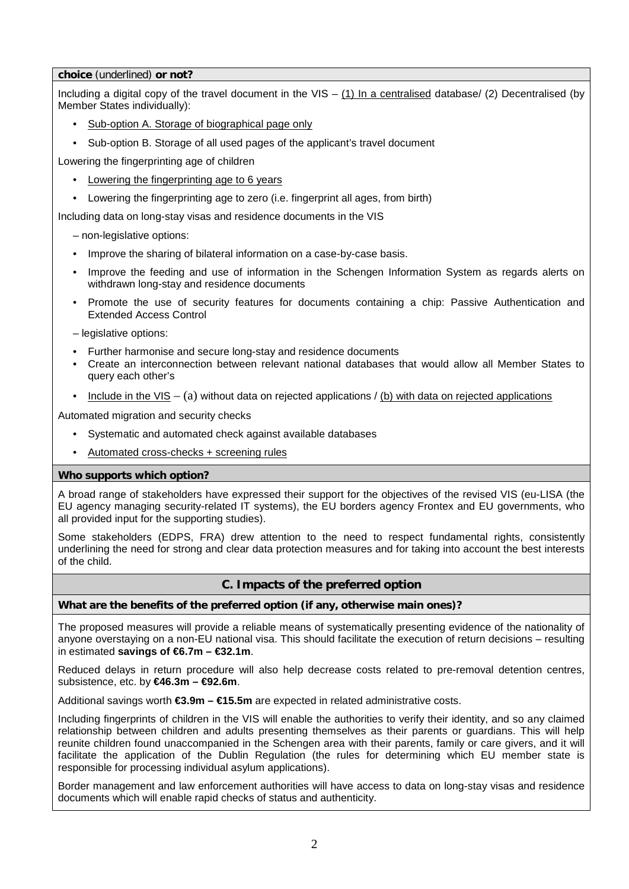### **choice** (underlined) **or not?**

Including a digital copy of the travel document in the  $VIS - (1)$  In a centralised database/ (2) Decentralised (by Member States individually):

- Sub-option A. Storage of biographical page only
- Sub-option B. Storage of all used pages of the applicant's travel document

Lowering the fingerprinting age of children

- Lowering the fingerprinting age to 6 years
- Lowering the fingerprinting age to zero (i.e. fingerprint all ages, from birth)

Including data on long-stay visas and residence documents in the VIS

- non-legislative options:
- Improve the sharing of bilateral information on a case-by-case basis.
- Improve the feeding and use of information in the Schengen Information System as regards alerts on withdrawn long-stay and residence documents
- Promote the use of security features for documents containing a chip: Passive Authentication and Extended Access Control

– legislative options:

- Further harmonise and secure long-stay and residence documents
- Create an interconnection between relevant national databases that would allow all Member States to query each other's
- Include in the VIS (a) without data on rejected applications / (b) with data on rejected applications

Automated migration and security checks

- Systematic and automated check against available databases
- Automated cross-checks + screening rules

## **Who supports which option?**

A broad range of stakeholders have expressed their support for the objectives of the revised VIS (eu-LISA (the EU agency managing security-related IT systems), the EU borders agency Frontex and EU governments, who all provided input for the supporting studies).

Some stakeholders (EDPS, FRA) drew attention to the need to respect fundamental rights, consistently underlining the need for strong and clear data protection measures and for taking into account the best interests of the child.

## **C. Impacts of the preferred option**

## **What are the benefits of the preferred option (if any, otherwise main ones)?**

The proposed measures will provide a reliable means of systematically presenting evidence of the nationality of anyone overstaying on a non-EU national visa. This should facilitate the execution of return decisions – resulting in estimated **savings of €6.7m – €32.1m**.

Reduced delays in return procedure will also help decrease costs related to pre-removal detention centres, subsistence, etc. by **€46.3m – €92.6m**.

Additional savings worth **€3.9m – €15.5m** are expected in related administrative costs.

Including fingerprints of children in the VIS will enable the authorities to verify their identity, and so any claimed relationship between children and adults presenting themselves as their parents or guardians. This will help reunite children found unaccompanied in the Schengen area with their parents, family or care givers, and it will facilitate the application of the Dublin Regulation (the rules for determining which EU member state is responsible for processing individual asylum applications).

Border management and law enforcement authorities will have access to data on long-stay visas and residence documents which will enable rapid checks of status and authenticity.